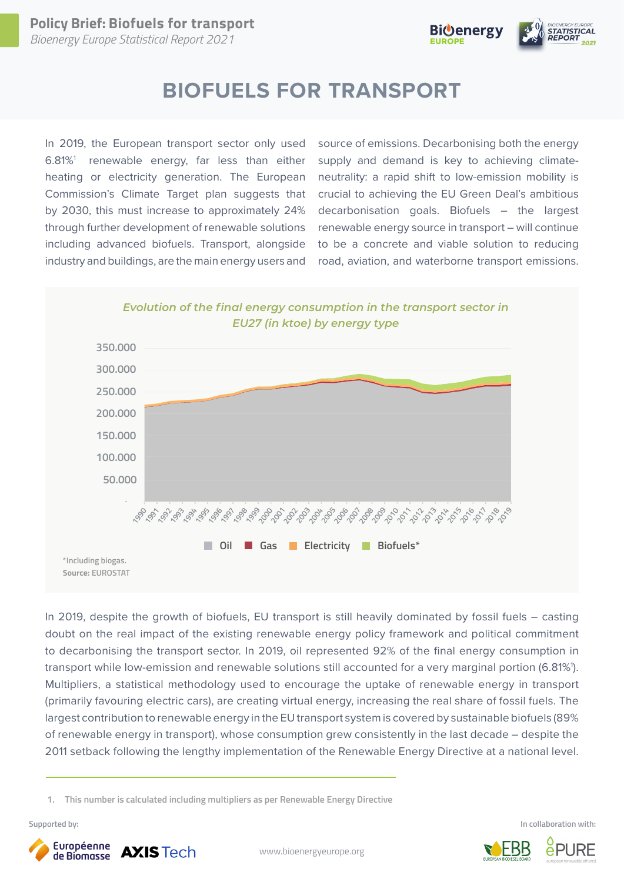

# **BIOFUELS FOR TRANSPORT**

In 2019, the European transport sector only used  $6.81\%$ <sup>1</sup> renewable energy, far less than either heating or electricity generation. The European Commission's Climate Target plan suggests that by 2030, this must increase to approximately 24% through further development of renewable solutions including advanced biofuels. Transport, alongside industry and buildings, are the main energy users and source of emissions. Decarbonising both the energy supply and demand is key to achieving climateneutrality: a rapid shift to low-emission mobility is crucial to achieving the EU Green Deal's ambitious decarbonisation goals. Biofuels – the largest renewable energy source in transport – will continue to be a concrete and viable solution to reducing road, aviation, and waterborne transport emissions.





In 2019, despite the growth of biofuels, EU transport is still heavily dominated by fossil fuels – casting doubt on the real impact of the existing renewable energy policy framework and political commitment to decarbonising the transport sector. In 2019, oil represented 92% of the final energy consumption in transport while low-emission and renewable solutions still accounted for a very marginal portion (6.81%'). Multipliers, a statistical methodology used to encourage the uptake of renewable energy in transport (primarily favouring electric cars), are creating virtual energy, increasing the real share of fossil fuels. The largest contribution to renewable energy in the EU transport system is covered by sustainable biofuels (89% of renewable energy in transport), whose consumption grew consistently in the last decade – despite the 2011 setback following the lengthy implementation of the Renewable Energy Directive at a national level.

 **1. This number is calculated including multipliers as per Renewable Energy Directive**



**Supported by: In collaboration with:**

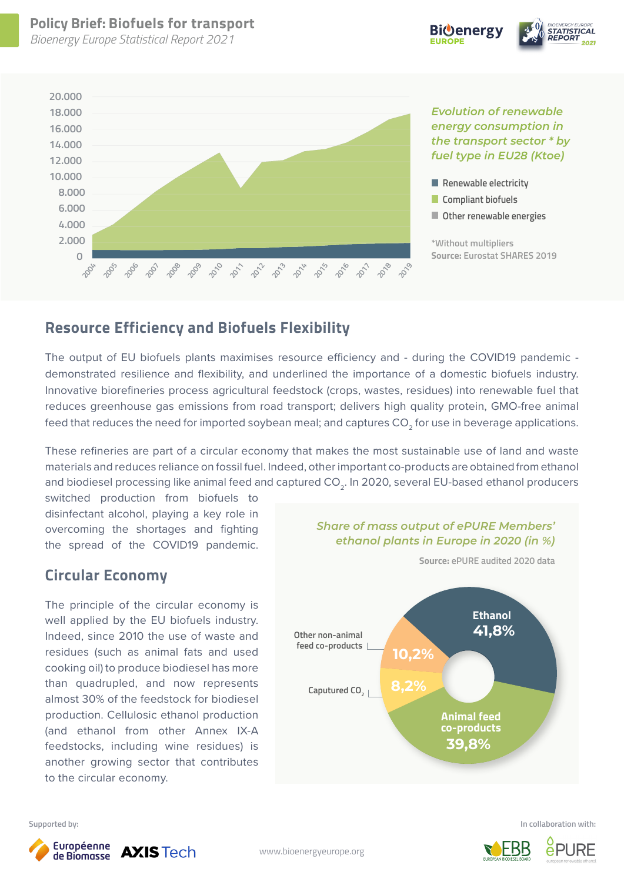*Bioenergy Europe Statistical Report 2021*





*Evolution of renewable energy consumption in the transport sector \* by fuel type in EU28 (Ktoe)*



**\*Without multipliers Source: Eurostat SHARES 2019**

### **Resource Efficiency and Biofuels Flexibility**

The output of EU biofuels plants maximises resource efficiency and - during the COVID19 pandemic demonstrated resilience and flexibility, and underlined the importance of a domestic biofuels industry. Innovative biorefineries process agricultural feedstock (crops, wastes, residues) into renewable fuel that reduces greenhouse gas emissions from road transport; delivers high quality protein, GMO-free animal feed that reduces the need for imported soybean meal; and captures CO<sub>2</sub> for use in beverage applications.

These refineries are part of a circular economy that makes the most sustainable use of land and waste materials and reduces reliance on fossil fuel. Indeed, other important co-products are obtained from ethanol and biodiesel processing like animal feed and captured CO<sub>2</sub>. In 2020, several EU-based ethanol producers

switched production from biofuels to disinfectant alcohol, playing a key role in overcoming the shortages and fighting the spread of the COVID19 pandemic.

#### **Circular Economy**

The principle of the circular economy is well applied by the EU biofuels industry. Indeed, since 2010 the use of waste and residues (such as animal fats and used cooking oil) to produce biodiesel has more than quadrupled, and now represents almost 30% of the feedstock for biodiesel production. Cellulosic ethanol production (and ethanol from other Annex IX-A feedstocks, including wine residues) is another growing sector that contributes to the circular economy.



*Share of mass output of ePURE Members' ethanol plants in Europe in 2020 (in %)*

**Supported by: In collaboration with:**